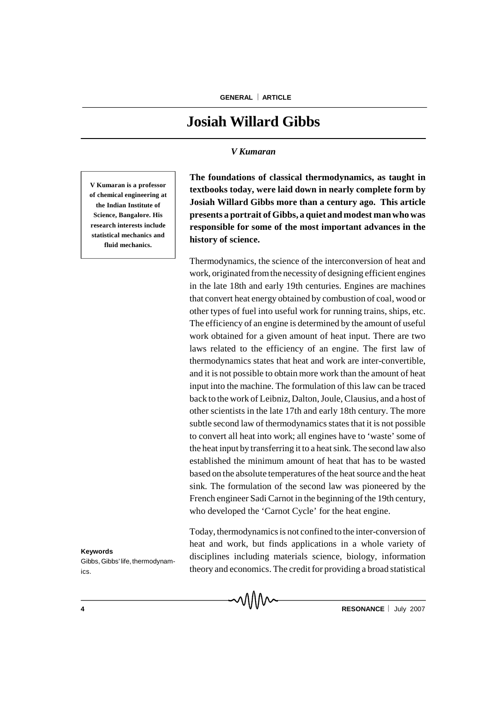# **Josiah Willard Gibbs**

#### *V Kumaran*

**V Kumaran is a professor of chemical engineering at the Indian Institute of Science, Bangalore. His research interests include statistical mechanics and fluid mechanics.**

**The foundations of classical thermodynamics, as taught in textbooks today, were laid down in nearly complete form by Josiah Willard Gibbs more than a century ago. This article presents a portrait of Gibbs, a quiet and modest man who was responsible for some of the most important advances in the history of science.**

Thermodynamics, the science of the interconversion of heat and work, originated from the necessity of designing efficient engines in the late 18th and early 19th centuries. Engines are machines that convert heat energy obtained by combustion of coal, wood or other types of fuel into useful work for running trains, ships, etc. The efficiency of an engine is determined by the amount of useful work obtained for a given amount of heat input. There are two laws related to the efficiency of an engine. The first law of thermodynamics states that heat and work are inter-convertible, and it is not possible to obtain more work than the amount of heat input into the machine. The formulation of this law can be traced back to the work of Leibniz, Dalton, Joule, Clausius, and a host of other scientists in the late 17th and early 18th century. The more subtle second law of thermodynamics states that it is not possible to convert all heat into work; all engines have to 'waste' some of the heat input by transferring it to a heat sink. The second law also established the minimum amount of heat that has to be wasted based on the absolute temperatures of the heat source and the heat sink. The formulation of the second law was pioneered by the French engineer Sadi Carnot in the beginning of the 19th century, who developed the 'Carnot Cycle' for the heat engine.

Today, thermodynamics is not confined to the inter-conversion of heat and work, but finds applications in a whole variety of disciplines including materials science, biology, information theory and economics. The credit for providing a broad statistical

**Keywords**

Gibbs, Gibbs'life, thermodynamics.

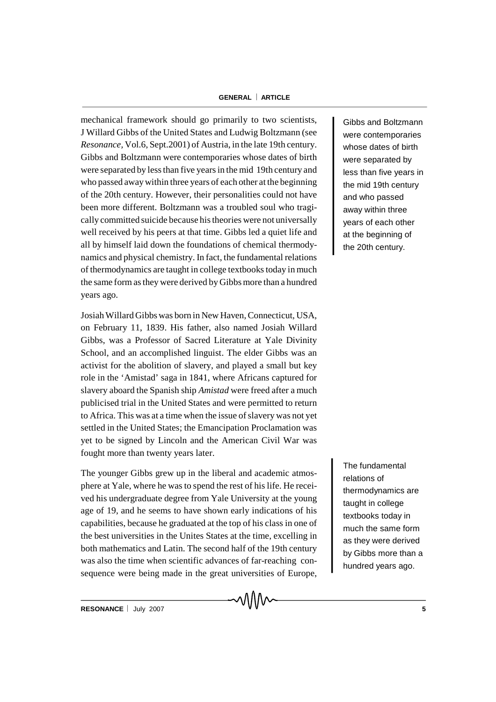mechanical framework should go primarily to two scientists, J Willard Gibbs of the United States and Ludwig Boltzmann (see *Resonance,* Vol.6, Sept.2001) of Austria, in the late 19th century. Gibbs and Boltzmann were contemporaries whose dates of birth were separated by less than five years in the mid 19th century and who passed away within three years of each other at the beginning of the 20th century. However, their personalities could not have been more different. Boltzmann was a troubled soul who tragically committed suicide because his theories were not universally well received by his peers at that time. Gibbs led a quiet life and all by himself laid down the foundations of chemical thermodynamics and physical chemistry. In fact, the fundamental relations of thermodynamics are taught in college textbooks today in much the same form as they were derived by Gibbs more than a hundred years ago.

Josiah Willard Gibbs was born in New Haven, Connecticut, USA, on February 11, 1839. His father, also named Josiah Willard Gibbs, was a Professor of Sacred Literature at Yale Divinity School, and an accomplished linguist. The elder Gibbs was an activist for the abolition of slavery, and played a small but key role in the 'Amistad' saga in 1841, where Africans captured for slavery aboard the Spanish ship *Amistad* were freed after a much publicised trial in the United States and were permitted to return to Africa. This was at a time when the issue of slavery was not yet settled in the United States; the Emancipation Proclamation was yet to be signed by Lincoln and the American Civil War was fought more than twenty years later.

The younger Gibbs grew up in the liberal and academic atmosphere at Yale, where he was to spend the rest of his life. He received his undergraduate degree from Yale University at the young age of 19, and he seems to have shown early indications of his capabilities, because he graduated at the top of his class in one of the best universities in the Unites States at the time, excelling in both mathematics and Latin. The second half of the 19th century was also the time when scientific advances of far-reaching consequence were being made in the great universities of Europe,

Gibbs and Boltzmann were contemporaries whose dates of birth were separated by less than five years in the mid 19th century and who passed away within three years of each other at the beginning of the 20th century.

The fundamental relations of thermodynamics are taught in college textbooks today in much the same form as they were derived by Gibbs more than a hundred years ago.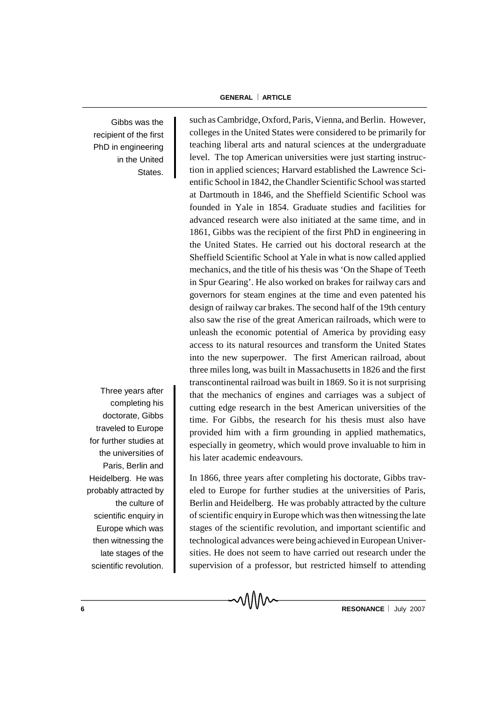Gibbs was the recipient of the first PhD in engineering in the United **States** 

Three years after completing his doctorate, Gibbs traveled to Europe for further studies at the universities of Paris, Berlin and Heidelberg. He was probably attracted by the culture of scientific enquiry in Europe which was then witnessing the late stages of the scientific revolution.

such as Cambridge, Oxford, Paris, Vienna, and Berlin. However, colleges in the United States were considered to be primarily for teaching liberal arts and natural sciences at the undergraduate level. The top American universities were just starting instruction in applied sciences; Harvard established the Lawrence Scientific School in 1842, the Chandler Scientific School was started at Dartmouth in 1846, and the Sheffield Scientific School was founded in Yale in 1854. Graduate studies and facilities for advanced research were also initiated at the same time, and in 1861, Gibbs was the recipient of the first PhD in engineering in the United States. He carried out his doctoral research at the Sheffield Scientific School at Yale in what is now called applied mechanics, and the title of his thesis was 'On the Shape of Teeth in Spur Gearing'. He also worked on brakes for railway cars and governors for steam engines at the time and even patented his design of railway car brakes. The second half of the 19th century also saw the rise of the great American railroads, which were to unleash the economic potential of America by providing easy access to its natural resources and transform the United States into the new superpower. The first American railroad, about three miles long, was built in Massachusetts in 1826 and the first transcontinental railroad was built in 1869. So it is not surprising that the mechanics of engines and carriages was a subject of cutting edge research in the best American universities of the time. For Gibbs, the research for his thesis must also have provided him with a firm grounding in applied mathematics, especially in geometry, which would prove invaluable to him in his later academic endeavours.

In 1866, three years after completing his doctorate, Gibbs traveled to Europe for further studies at the universities of Paris, Berlin and Heidelberg. He was probably attracted by the culture of scientific enquiry in Europe which was then witnessing the late stages of the scientific revolution, and important scientific and technological advances were being achieved in European Universities. He does not seem to have carried out research under the supervision of a professor, but restricted himself to attending

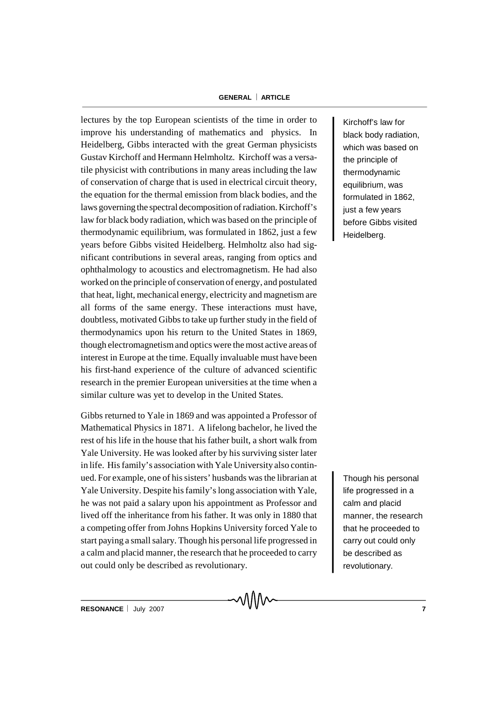lectures by the top European scientists of the time in order to improve his understanding of mathematics and physics. In Heidelberg, Gibbs interacted with the great German physicists Gustav Kirchoff and Hermann Helmholtz. Kirchoff was a versatile physicist with contributions in many areas including the law of conservation of charge that is used in electrical circuit theory, the equation for the thermal emission from black bodies, and the laws governing the spectral decomposition of radiation. Kirchoff's law for black body radiation, which was based on the principle of thermodynamic equilibrium, was formulated in 1862, just a few years before Gibbs visited Heidelberg. Helmholtz also had significant contributions in several areas, ranging from optics and ophthalmology to acoustics and electromagnetism. He had also worked on the principle of conservation of energy, and postulated that heat, light, mechanical energy, electricity and magnetism are all forms of the same energy. These interactions must have, doubtless, motivated Gibbs to take up further study in the field of thermodynamics upon his return to the United States in 1869, though electromagnetism and optics were the most active areas of interest in Europe at the time. Equally invaluable must have been his first-hand experience of the culture of advanced scientific research in the premier European universities at the time when a similar culture was yet to develop in the United States.

Gibbs returned to Yale in 1869 and was appointed a Professor of Mathematical Physics in 1871. A lifelong bachelor, he lived the rest of his life in the house that his father built, a short walk from Yale University. He was looked after by his surviving sister later in life. His family's association with Yale University also continued. For example, one of his sisters' husbands was the librarian at Yale University. Despite his family's long association with Yale, he was not paid a salary upon his appointment as Professor and lived off the inheritance from his father. It was only in 1880 that a competing offer from Johns Hopkins University forced Yale to start paying a small salary. Though his personal life progressed in a calm and placid manner, the research that he proceeded to carry out could only be described as revolutionary.

Kirchoff's law for black body radiation, which was based on the principle of thermodynamic equilibrium, was formulated in 1862, just a few years before Gibbs visited Heidelberg.

Though his personal life progressed in a calm and placid manner, the research that he proceeded to carry out could only be described as revolutionary.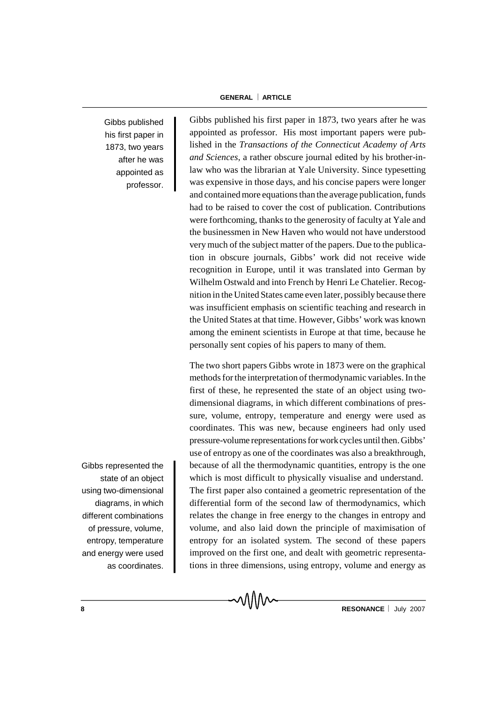Gibbs published his first paper in 1873, two years after he was appointed as professor.

Gibbs represented the

state of an object using two-dimensional diagrams, in which different combinations of pressure, volume, entropy, temperature and energy were used as coordinates.

Gibbs published his first paper in 1873, two years after he was appointed as professor. His most important papers were published in the *Transactions of the Connecticut Academy of Arts and Sciences*, a rather obscure journal edited by his brother-inlaw who was the librarian at Yale University. Since typesetting was expensive in those days, and his concise papers were longer and contained more equations than the average publication, funds had to be raised to cover the cost of publication. Contributions were forthcoming, thanks to the generosity of faculty at Yale and the businessmen in New Haven who would not have understood very much of the subject matter of the papers. Due to the publication in obscure journals, Gibbs' work did not receive wide recognition in Europe, until it was translated into German by Wilhelm Ostwald and into French by Henri Le Chatelier. Recognition in the United States came even later, possibly because there was insufficient emphasis on scientific teaching and research in the United States at that time. However, Gibbs' work was known among the eminent scientists in Europe at that time, because he personally sent copies of his papers to many of them.

The two short papers Gibbs wrote in 1873 were on the graphical methods for the interpretation of thermodynamic variables. In the first of these, he represented the state of an object using twodimensional diagrams, in which different combinations of pressure, volume, entropy, temperature and energy were used as coordinates. This was new, because engineers had only used pressure-volume representations for workcycles until then. Gibbs' use of entropy as one of the coordinates was also a breakthrough, because of all the thermodynamic quantities, entropy is the one which is most difficult to physically visualise and understand. The first paper also contained a geometric representation of the differential form of the second law of thermodynamics, which relates the change in free energy to the changes in entropy and volume, and also laid down the principle of maximisation of entropy for an isolated system. The second of these papers improved on the first one, and dealt with geometric representations in three dimensions, using entropy, volume and energy as

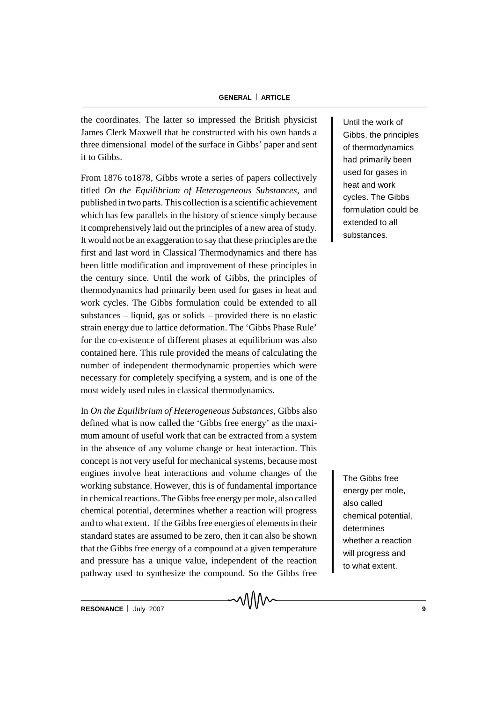the coordinates. The latter so impressed the British physicist James Clerk Maxwell that he constructed with his own hands a three dimensional model of the surface in Gibbs' paper and sent it to Gibbs.

From 1876 to1878, Gibbs wrote a series of papers collectively titled *On the Equilibrium of Heterogeneous Substances*, and published in two parts. This collection is a scientific achievement which has few parallels in the history of science simply because it comprehensively laid out the principles of a new area of study. It would not be an exaggeration to say that these principles are the first and last word in Classical Thermodynamics and there has been little modification and improvement of these principles in the century since. Until the work of Gibbs, the principles of thermodynamics had primarily been used for gases in heat and work cycles. The Gibbs formulation could be extended to all substances  $-$  liquid, gas or solids  $-$  provided there is no elastic strain energy due to lattice deformation. The 'Gibbs Phase Rule' for the co-existence of different phases at equilibrium was also contained here. This rule provided the means of calculating the number of independent thermodynamic properties which were necessary for completely specifying a system, and is one of the most widely used rules in classical thermodynamics.

In *On the Equilibrium of Heterogeneous Substances*, Gibbs also defined what is now called the 'Gibbs free energy' as the maximum amount of useful work that can be extracted from a system in the absence of any volume change or heat interaction. This concept is not very useful for mechanical systems, because most engines involve heat interactions and volume changes of the working substance. However, this is of fundamental importance in chemical reactions. The Gibbs free energy per mole, also called chemical potential, determines whether a reaction will progress and to what extent. If the Gibbs free energies of elements in their standard states are assumed to be zero, then it can also be shown that the Gibbs free energy of a compound at a given temperature and pressure has a unique value, independent of the reaction pathway used to synthesize the compound. So the Gibbs free

∧ՈՈՒ **RESONANCE** July 2007 **9**

Until the work of Gibbs, the principles of thermodynamics had primarily been used for gases in heat and work cycles. The Gibbs formulation could be extended to all substances.

The Gibbs free energy per mole, also called chemical potential, determines whether a reaction will progress and to what extent.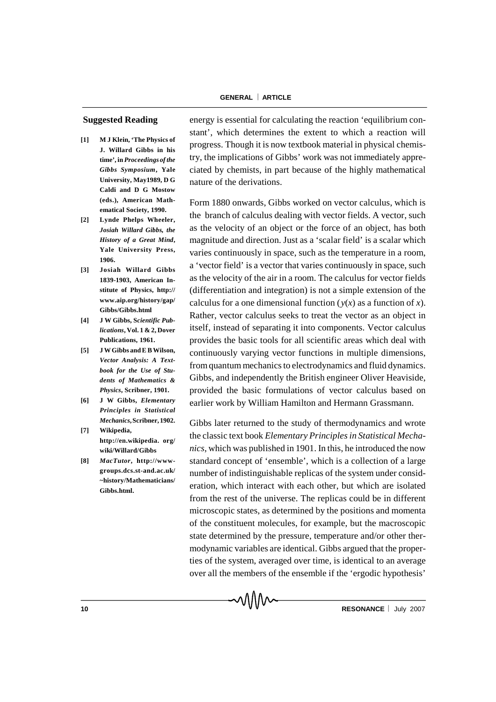#### **Suggested Reading**

- **[1] M J Klein, 'The Physics of J. Willard Gibbs in his time', in***Proceedings of the Gibbs Symposium***, Yale University, May1989, D G Caldi and D G Mostow (eds.), American Mathematical Society, 1990.**
- **[2] Lynde Phelps Wheeler,** *Josiah Willard Gibbs, the History of a Great Mind***, Yale University Press, 1906.**
- **[3] Josiah Willard Gibbs 1839-1903, American Institute of Physics, http:// www.aip.org/history/gap/ Gibbs/Gibbs.html**
- **[4] J W Gibbs, S***cientific Publications***, Vol. 1 & 2, Dover Publications, 1961.**
- **[5] J W Gibbs and E B Wilson,** *Vector Analysis: A Textbook for the Use of Students of Mathematics & Physics***, Scribner, 1901.**
- **[6] J W Gibbs,** *Elementary Principles in Statistical Mechanics***,Scribner, 1902.**
- **[7] Wikipedia, http://en.wikipedia. org/ wiki/Willard/Gibbs**
- **[8]** *MacTutor***, http://wwwgroups.dcs.st-and.ac.uk/ ~history/Mathematicians/ Gibbs.html.**

energy is essential for calculating the reaction 'equilibrium constant', which determines the extent to which a reaction will progress. Though it is now textbook material in physical chemistry, the implications of Gibbs' work was not immediately appreciated by chemists, in part because of the highly mathematical nature of the derivations.

Form 1880 onwards, Gibbs worked on vector calculus, which is the branch of calculus dealing with vector fields. A vector, such as the velocity of an object or the force of an object, has both magnitude and direction. Just as a 'scalar field' is a scalar which varies continuously in space, such as the temperature in a room, a 'vector field' is a vector that varies continuously in space, such as the velocity of the air in a room. The calculus for vector fields (differentiation and integration) is not a simple extension of the calculus for a one dimensional function  $(y(x))$  as a function of *x*). Rather, vector calculus seeks to treat the vector as an object in itself, instead of separating it into components. Vector calculus provides the basic tools for all scientific areas which deal with continuously varying vector functions in multiple dimensions, from quantum mechanics to electrodynamics and fluid dynamics. Gibbs, and independently the British engineer Oliver Heaviside, provided the basic formulations of vector calculus based on earlier work by William Hamilton and Hermann Grassmann.

Gibbs later returned to the study of thermodynamics and wrote the classic text book *Elementary Principles in Statistical Mechanics*, which was published in 1901. In this, he introduced the now standard concept of 'ensemble', which is a collection of a large number of indistinguishable replicas of the system under consideration, which interact with each other, but which are isolated from the rest of the universe. The replicas could be in different microscopic states, as determined by the positions and momenta of the constituent molecules, for example, but the macroscopic state determined by the pressure, temperature and/or other thermodynamic variables are identical. Gibbs argued that the properties of the system, averaged over time, is identical to an average over all the members of the ensemble if the 'ergodic hypothesis'